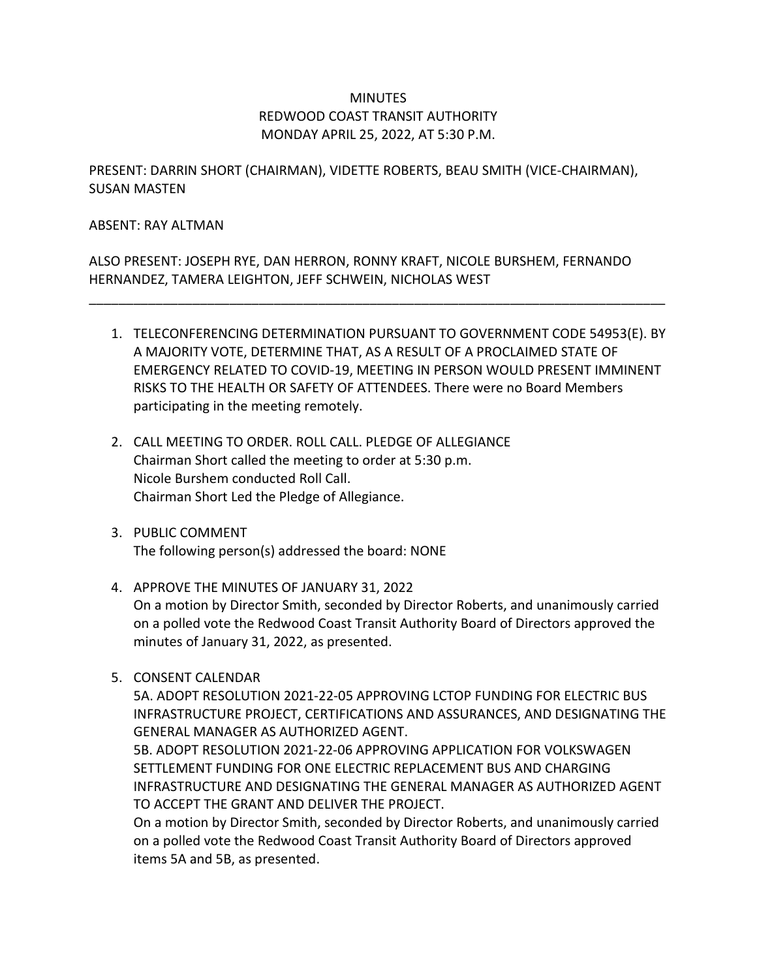## **MINUTES** REDWOOD COAST TRANSIT AUTHORITY MONDAY APRIL 25, 2022, AT 5:30 P.M.

PRESENT: DARRIN SHORT (CHAIRMAN), VIDETTE ROBERTS, BEAU SMITH (VICE-CHAIRMAN), SUSAN MASTEN

#### ABSENT: RAY ALTMAN

ALSO PRESENT: JOSEPH RYE, DAN HERRON, RONNY KRAFT, NICOLE BURSHEM, FERNANDO HERNANDEZ, TAMERA LEIGHTON, JEFF SCHWEIN, NICHOLAS WEST

\_\_\_\_\_\_\_\_\_\_\_\_\_\_\_\_\_\_\_\_\_\_\_\_\_\_\_\_\_\_\_\_\_\_\_\_\_\_\_\_\_\_\_\_\_\_\_\_\_\_\_\_\_\_\_\_\_\_\_\_\_\_\_\_\_\_\_\_\_\_\_\_\_\_\_\_\_\_

- 1. TELECONFERENCING DETERMINATION PURSUANT TO GOVERNMENT CODE 54953(E). BY A MAJORITY VOTE, DETERMINE THAT, AS A RESULT OF A PROCLAIMED STATE OF EMERGENCY RELATED TO COVID-19, MEETING IN PERSON WOULD PRESENT IMMINENT RISKS TO THE HEALTH OR SAFETY OF ATTENDEES. There were no Board Members participating in the meeting remotely.
- 2. CALL MEETING TO ORDER. ROLL CALL. PLEDGE OF ALLEGIANCE Chairman Short called the meeting to order at 5:30 p.m. Nicole Burshem conducted Roll Call. Chairman Short Led the Pledge of Allegiance.
- 3. PUBLIC COMMENT The following person(s) addressed the board: NONE
- 4. APPROVE THE MINUTES OF JANUARY 31, 2022 On a motion by Director Smith, seconded by Director Roberts, and unanimously carried on a polled vote the Redwood Coast Transit Authority Board of Directors approved the minutes of January 31, 2022, as presented.
- 5. CONSENT CALENDAR

5A. ADOPT RESOLUTION 2021-22-05 APPROVING LCTOP FUNDING FOR ELECTRIC BUS INFRASTRUCTURE PROJECT, CERTIFICATIONS AND ASSURANCES, AND DESIGNATING THE GENERAL MANAGER AS AUTHORIZED AGENT.

5B. ADOPT RESOLUTION 2021-22-06 APPROVING APPLICATION FOR VOLKSWAGEN SETTLEMENT FUNDING FOR ONE ELECTRIC REPLACEMENT BUS AND CHARGING INFRASTRUCTURE AND DESIGNATING THE GENERAL MANAGER AS AUTHORIZED AGENT TO ACCEPT THE GRANT AND DELIVER THE PROJECT.

On a motion by Director Smith, seconded by Director Roberts, and unanimously carried on a polled vote the Redwood Coast Transit Authority Board of Directors approved items 5A and 5B, as presented.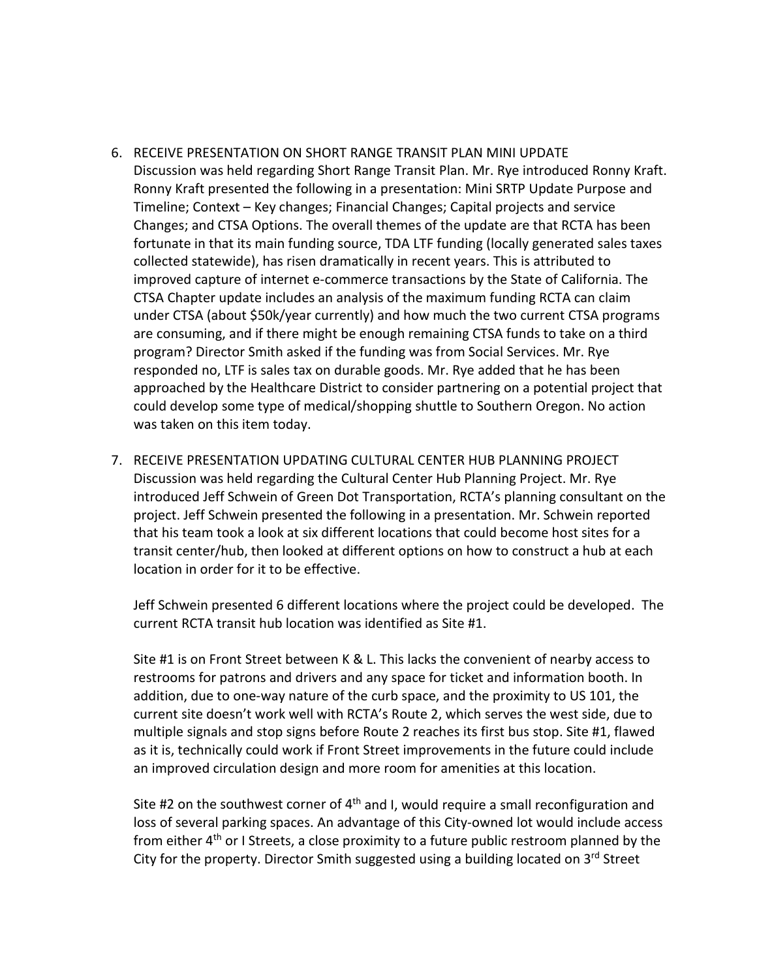- 6. RECEIVE PRESENTATION ON SHORT RANGE TRANSIT PLAN MINI UPDATE Discussion was held regarding Short Range Transit Plan. Mr. Rye introduced Ronny Kraft. Ronny Kraft presented the following in a presentation: Mini SRTP Update Purpose and Timeline; Context – Key changes; Financial Changes; Capital projects and service Changes; and CTSA Options. The overall themes of the update are that RCTA has been fortunate in that its main funding source, TDA LTF funding (locally generated sales taxes collected statewide), has risen dramatically in recent years. This is attributed to improved capture of internet e-commerce transactions by the State of California. The CTSA Chapter update includes an analysis of the maximum funding RCTA can claim under CTSA (about \$50k/year currently) and how much the two current CTSA programs are consuming, and if there might be enough remaining CTSA funds to take on a third program? Director Smith asked if the funding was from Social Services. Mr. Rye responded no, LTF is sales tax on durable goods. Mr. Rye added that he has been approached by the Healthcare District to consider partnering on a potential project that could develop some type of medical/shopping shuttle to Southern Oregon. No action was taken on this item today.
- 7. RECEIVE PRESENTATION UPDATING CULTURAL CENTER HUB PLANNING PROJECT Discussion was held regarding the Cultural Center Hub Planning Project. Mr. Rye introduced Jeff Schwein of Green Dot Transportation, RCTA's planning consultant on the project. Jeff Schwein presented the following in a presentation. Mr. Schwein reported that his team took a look at six different locations that could become host sites for a transit center/hub, then looked at different options on how to construct a hub at each location in order for it to be effective.

Jeff Schwein presented 6 different locations where the project could be developed. The current RCTA transit hub location was identified as Site #1.

Site #1 is on Front Street between K & L. This lacks the convenient of nearby access to restrooms for patrons and drivers and any space for ticket and information booth. In addition, due to one-way nature of the curb space, and the proximity to US 101, the current site doesn't work well with RCTA's Route 2, which serves the west side, due to multiple signals and stop signs before Route 2 reaches its first bus stop. Site #1, flawed as it is, technically could work if Front Street improvements in the future could include an improved circulation design and more room for amenities at this location.

Site #2 on the southwest corner of  $4<sup>th</sup>$  and I, would require a small reconfiguration and loss of several parking spaces. An advantage of this City-owned lot would include access from either  $4<sup>th</sup>$  or I Streets, a close proximity to a future public restroom planned by the City for the property. Director Smith suggested using a building located on  $3<sup>rd</sup>$  Street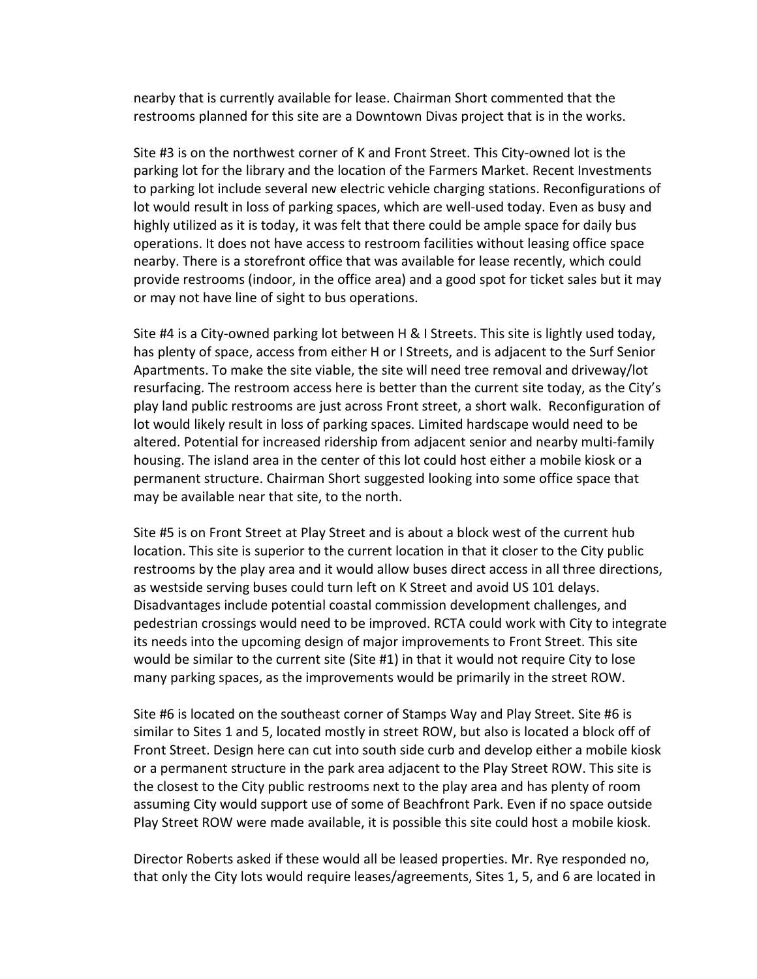nearby that is currently available for lease. Chairman Short commented that the restrooms planned for this site are a Downtown Divas project that is in the works.

Site #3 is on the northwest corner of K and Front Street. This City-owned lot is the parking lot for the library and the location of the Farmers Market. Recent Investments to parking lot include several new electric vehicle charging stations. Reconfigurations of lot would result in loss of parking spaces, which are well-used today. Even as busy and highly utilized as it is today, it was felt that there could be ample space for daily bus operations. It does not have access to restroom facilities without leasing office space nearby. There is a storefront office that was available for lease recently, which could provide restrooms (indoor, in the office area) and a good spot for ticket sales but it may or may not have line of sight to bus operations.

Site #4 is a City-owned parking lot between H & I Streets. This site is lightly used today, has plenty of space, access from either H or I Streets, and is adjacent to the Surf Senior Apartments. To make the site viable, the site will need tree removal and driveway/lot resurfacing. The restroom access here is better than the current site today, as the City's play land public restrooms are just across Front street, a short walk. Reconfiguration of lot would likely result in loss of parking spaces. Limited hardscape would need to be altered. Potential for increased ridership from adjacent senior and nearby multi-family housing. The island area in the center of this lot could host either a mobile kiosk or a permanent structure. Chairman Short suggested looking into some office space that may be available near that site, to the north.

Site #5 is on Front Street at Play Street and is about a block west of the current hub location. This site is superior to the current location in that it closer to the City public restrooms by the play area and it would allow buses direct access in all three directions, as westside serving buses could turn left on K Street and avoid US 101 delays. Disadvantages include potential coastal commission development challenges, and pedestrian crossings would need to be improved. RCTA could work with City to integrate its needs into the upcoming design of major improvements to Front Street. This site would be similar to the current site (Site #1) in that it would not require City to lose many parking spaces, as the improvements would be primarily in the street ROW.

Site #6 is located on the southeast corner of Stamps Way and Play Street. Site #6 is similar to Sites 1 and 5, located mostly in street ROW, but also is located a block off of Front Street. Design here can cut into south side curb and develop either a mobile kiosk or a permanent structure in the park area adjacent to the Play Street ROW. This site is the closest to the City public restrooms next to the play area and has plenty of room assuming City would support use of some of Beachfront Park. Even if no space outside Play Street ROW were made available, it is possible this site could host a mobile kiosk.

Director Roberts asked if these would all be leased properties. Mr. Rye responded no, that only the City lots would require leases/agreements, Sites 1, 5, and 6 are located in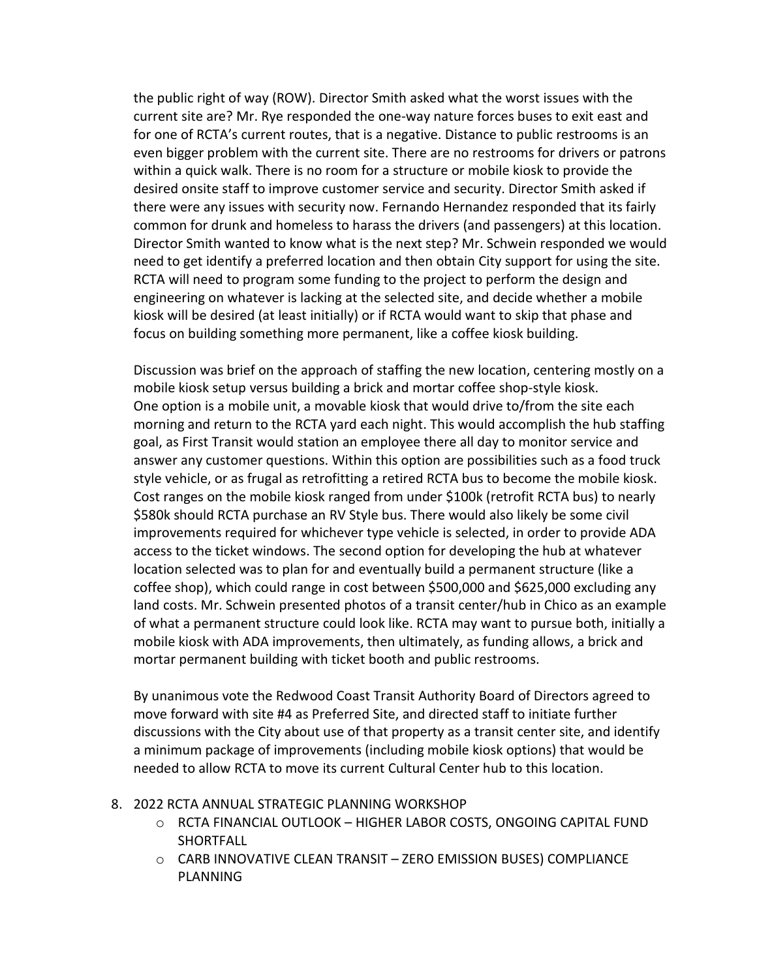the public right of way (ROW). Director Smith asked what the worst issues with the current site are? Mr. Rye responded the one-way nature forces buses to exit east and for one of RCTA's current routes, that is a negative. Distance to public restrooms is an even bigger problem with the current site. There are no restrooms for drivers or patrons within a quick walk. There is no room for a structure or mobile kiosk to provide the desired onsite staff to improve customer service and security. Director Smith asked if there were any issues with security now. Fernando Hernandez responded that its fairly common for drunk and homeless to harass the drivers (and passengers) at this location. Director Smith wanted to know what is the next step? Mr. Schwein responded we would need to get identify a preferred location and then obtain City support for using the site. RCTA will need to program some funding to the project to perform the design and engineering on whatever is lacking at the selected site, and decide whether a mobile kiosk will be desired (at least initially) or if RCTA would want to skip that phase and focus on building something more permanent, like a coffee kiosk building.

Discussion was brief on the approach of staffing the new location, centering mostly on a mobile kiosk setup versus building a brick and mortar coffee shop-style kiosk. One option is a mobile unit, a movable kiosk that would drive to/from the site each morning and return to the RCTA yard each night. This would accomplish the hub staffing goal, as First Transit would station an employee there all day to monitor service and answer any customer questions. Within this option are possibilities such as a food truck style vehicle, or as frugal as retrofitting a retired RCTA bus to become the mobile kiosk. Cost ranges on the mobile kiosk ranged from under \$100k (retrofit RCTA bus) to nearly \$580k should RCTA purchase an RV Style bus. There would also likely be some civil improvements required for whichever type vehicle is selected, in order to provide ADA access to the ticket windows. The second option for developing the hub at whatever location selected was to plan for and eventually build a permanent structure (like a coffee shop), which could range in cost between \$500,000 and \$625,000 excluding any land costs. Mr. Schwein presented photos of a transit center/hub in Chico as an example of what a permanent structure could look like. RCTA may want to pursue both, initially a mobile kiosk with ADA improvements, then ultimately, as funding allows, a brick and mortar permanent building with ticket booth and public restrooms.

By unanimous vote the Redwood Coast Transit Authority Board of Directors agreed to move forward with site #4 as Preferred Site, and directed staff to initiate further discussions with the City about use of that property as a transit center site, and identify a minimum package of improvements (including mobile kiosk options) that would be needed to allow RCTA to move its current Cultural Center hub to this location.

#### 8. 2022 RCTA ANNUAL STRATEGIC PLANNING WORKSHOP

- o RCTA FINANCIAL OUTLOOK HIGHER LABOR COSTS, ONGOING CAPITAL FUND SHORTFALL
- o CARB INNOVATIVE CLEAN TRANSIT ZERO EMISSION BUSES) COMPLIANCE PLANNING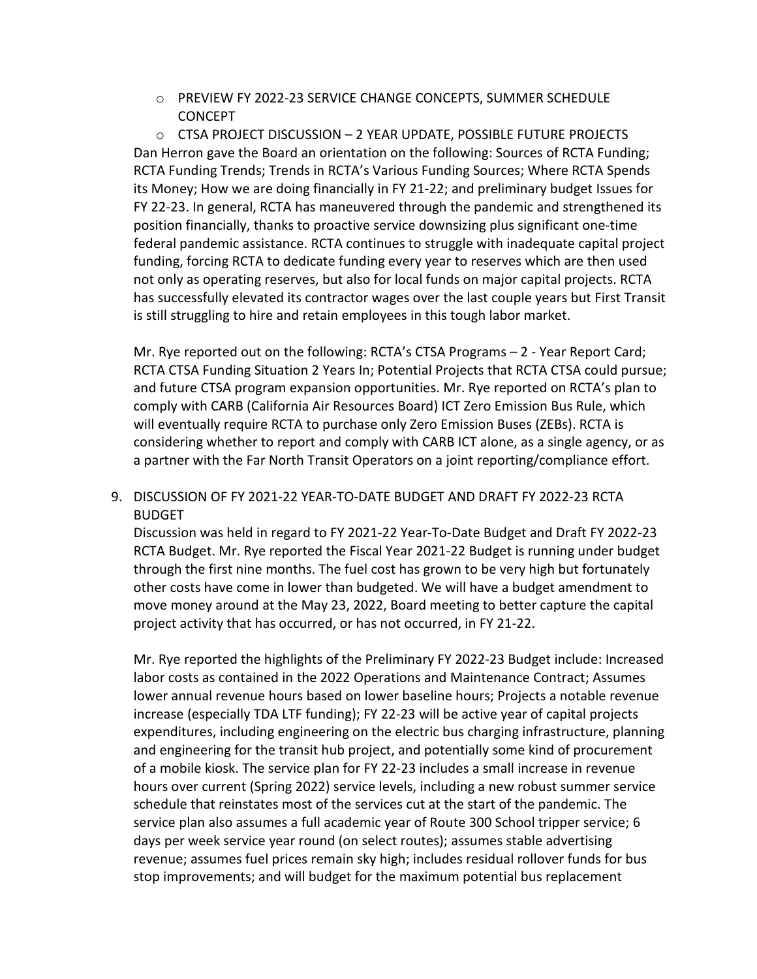o PREVIEW FY 2022-23 SERVICE CHANGE CONCEPTS, SUMMER SCHEDULE **CONCEPT** 

o CTSA PROJECT DISCUSSION – 2 YEAR UPDATE, POSSIBLE FUTURE PROJECTS Dan Herron gave the Board an orientation on the following: Sources of RCTA Funding; RCTA Funding Trends; Trends in RCTA's Various Funding Sources; Where RCTA Spends its Money; How we are doing financially in FY 21-22; and preliminary budget Issues for FY 22-23. In general, RCTA has maneuvered through the pandemic and strengthened its position financially, thanks to proactive service downsizing plus significant one-time federal pandemic assistance. RCTA continues to struggle with inadequate capital project funding, forcing RCTA to dedicate funding every year to reserves which are then used not only as operating reserves, but also for local funds on major capital projects. RCTA has successfully elevated its contractor wages over the last couple years but First Transit is still struggling to hire and retain employees in this tough labor market.

Mr. Rye reported out on the following: RCTA's CTSA Programs – 2 - Year Report Card; RCTA CTSA Funding Situation 2 Years In; Potential Projects that RCTA CTSA could pursue; and future CTSA program expansion opportunities. Mr. Rye reported on RCTA's plan to comply with CARB (California Air Resources Board) ICT Zero Emission Bus Rule, which will eventually require RCTA to purchase only Zero Emission Buses (ZEBs). RCTA is considering whether to report and comply with CARB ICT alone, as a single agency, or as a partner with the Far North Transit Operators on a joint reporting/compliance effort.

# 9. DISCUSSION OF FY 2021-22 YEAR-TO-DATE BUDGET AND DRAFT FY 2022-23 RCTA BUDGET

Discussion was held in regard to FY 2021-22 Year-To-Date Budget and Draft FY 2022-23 RCTA Budget. Mr. Rye reported the Fiscal Year 2021-22 Budget is running under budget through the first nine months. The fuel cost has grown to be very high but fortunately other costs have come in lower than budgeted. We will have a budget amendment to move money around at the May 23, 2022, Board meeting to better capture the capital project activity that has occurred, or has not occurred, in FY 21-22.

Mr. Rye reported the highlights of the Preliminary FY 2022-23 Budget include: Increased labor costs as contained in the 2022 Operations and Maintenance Contract; Assumes lower annual revenue hours based on lower baseline hours; Projects a notable revenue increase (especially TDA LTF funding); FY 22-23 will be active year of capital projects expenditures, including engineering on the electric bus charging infrastructure, planning and engineering for the transit hub project, and potentially some kind of procurement of a mobile kiosk. The service plan for FY 22-23 includes a small increase in revenue hours over current (Spring 2022) service levels, including a new robust summer service schedule that reinstates most of the services cut at the start of the pandemic. The service plan also assumes a full academic year of Route 300 School tripper service; 6 days per week service year round (on select routes); assumes stable advertising revenue; assumes fuel prices remain sky high; includes residual rollover funds for bus stop improvements; and will budget for the maximum potential bus replacement